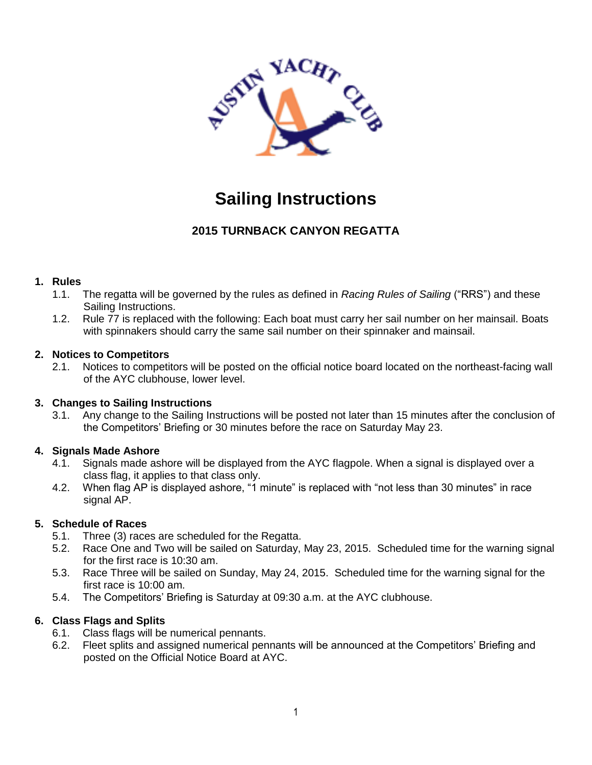

# **Sailing Instructions**

# **2015 TURNBACK CANYON REGATTA**

#### **1. Rules**

- 1.1. The regatta will be governed by the rules as defined in *Racing Rules of Sailing* ("RRS") and these Sailing Instructions.
- 1.2. Rule 77 is replaced with the following: Each boat must carry her sail number on her mainsail. Boats with spinnakers should carry the same sail number on their spinnaker and mainsail.

#### **2. Notices to Competitors**

2.1. Notices to competitors will be posted on the official notice board located on the northeast-facing wall of the AYC clubhouse, lower level.

# **3. Changes to Sailing Instructions**

3.1. Any change to the Sailing Instructions will be posted not later than 15 minutes after the conclusion of the Competitors' Briefing or 30 minutes before the race on Saturday May 23.

# **4. Signals Made Ashore**

- 4.1. Signals made ashore will be displayed from the AYC flagpole. When a signal is displayed over a class flag, it applies to that class only.
- 4.2. When flag AP is displayed ashore, "1 minute" is replaced with "not less than 30 minutes" in race signal AP.

# **5. Schedule of Races**

- 5.1. Three (3) races are scheduled for the Regatta.
- 5.2. Race One and Two will be sailed on Saturday, May 23, 2015. Scheduled time for the warning signal for the first race is 10:30 am.
- 5.3. Race Three will be sailed on Sunday, May 24, 2015. Scheduled time for the warning signal for the first race is 10:00 am.
- 5.4. The Competitors' Briefing is Saturday at 09:30 a.m. at the AYC clubhouse.

# **6. Class Flags and Splits**

- 6.1. Class flags will be numerical pennants.
- 6.2. Fleet splits and assigned numerical pennants will be announced at the Competitors' Briefing and posted on the Official Notice Board at AYC.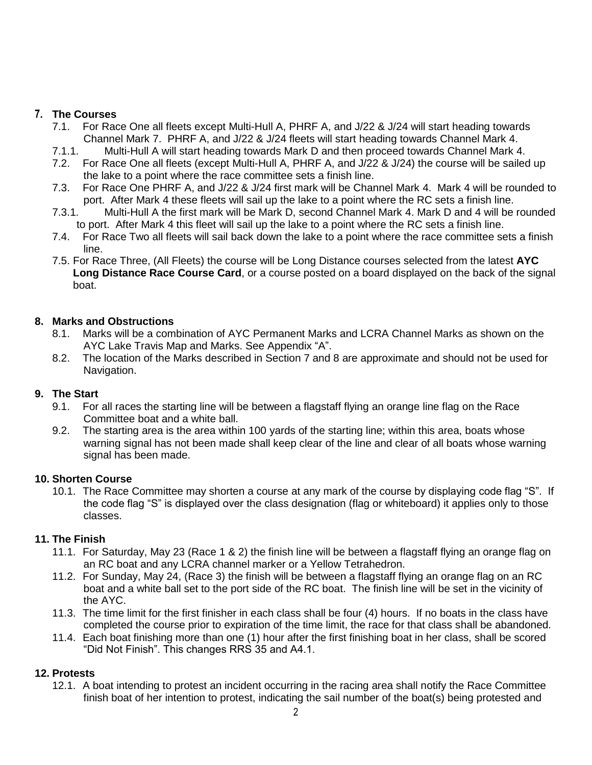### **7. The Courses**

- 7.1. For Race One all fleets except Multi-Hull A, PHRF A, and J/22 & J/24 will start heading towards Channel Mark 7. PHRF A, and J/22 & J/24 fleets will start heading towards Channel Mark 4.
- 7.1.1. Multi-Hull A will start heading towards Mark D and then proceed towards Channel Mark 4.
- 7.2. For Race One all fleets (except Multi-Hull A, PHRF A, and J/22 & J/24) the course will be sailed up the lake to a point where the race committee sets a finish line.
- 7.3. For Race One PHRF A, and J/22 & J/24 first mark will be Channel Mark 4. Mark 4 will be rounded to port. After Mark 4 these fleets will sail up the lake to a point where the RC sets a finish line.
- 7.3.1. Multi-Hull A the first mark will be Mark D, second Channel Mark 4. Mark D and 4 will be rounded to port. After Mark 4 this fleet will sail up the lake to a point where the RC sets a finish line.
- 7.4. For Race Two all fleets will sail back down the lake to a point where the race committee sets a finish line.
- 7.5. For Race Three, (All Fleets) the course will be Long Distance courses selected from the latest **AYC Long Distance Race Course Card**, or a course posted on a board displayed on the back of the signal boat.

#### **8. Marks and Obstructions**

- 8.1. Marks will be a combination of AYC Permanent Marks and LCRA Channel Marks as shown on the AYC Lake Travis Map and Marks. See Appendix "A".
- 8.2. The location of the Marks described in Section 7 and 8 are approximate and should not be used for Navigation.

# **9. The Start**

- 9.1. For all races the starting line will be between a flagstaff flying an orange line flag on the Race Committee boat and a white ball.
- 9.2. The starting area is the area within 100 yards of the starting line; within this area, boats whose warning signal has not been made shall keep clear of the line and clear of all boats whose warning signal has been made.

#### **10. Shorten Course**

10.1. The Race Committee may shorten a course at any mark of the course by displaying code flag "S". If the code flag "S" is displayed over the class designation (flag or whiteboard) it applies only to those classes.

# **11. The Finish**

- 11.1. For Saturday, May 23 (Race 1 & 2) the finish line will be between a flagstaff flying an orange flag on an RC boat and any LCRA channel marker or a Yellow Tetrahedron.
- 11.2. For Sunday, May 24, (Race 3) the finish will be between a flagstaff flying an orange flag on an RC boat and a white ball set to the port side of the RC boat. The finish line will be set in the vicinity of the AYC.
- 11.3. The time limit for the first finisher in each class shall be four (4) hours. If no boats in the class have completed the course prior to expiration of the time limit, the race for that class shall be abandoned.
- 11.4. Each boat finishing more than one (1) hour after the first finishing boat in her class, shall be scored "Did Not Finish". This changes RRS 35 and A4.1.

# **12. Protests**

12.1. A boat intending to protest an incident occurring in the racing area shall notify the Race Committee finish boat of her intention to protest, indicating the sail number of the boat(s) being protested and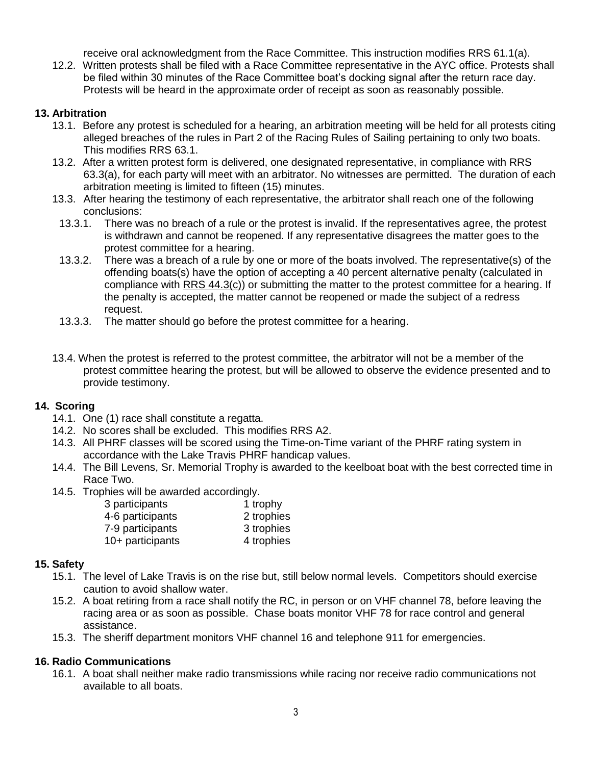receive oral acknowledgment from the Race Committee. This instruction modifies RRS 61.1(a).

12.2. Written protests shall be filed with a Race Committee representative in the AYC office. Protests shall be filed within 30 minutes of the Race Committee boat's docking signal after the return race day. Protests will be heard in the approximate order of receipt as soon as reasonably possible.

#### **13. Arbitration**

- 13.1. Before any protest is scheduled for a hearing, an arbitration meeting will be held for all protests citing alleged breaches of the rules in Part 2 of the Racing Rules of Sailing pertaining to only two boats. This modifies RRS 63.1.
- 13.2. After a written protest form is delivered, one designated representative, in compliance with RRS 63.3(a), for each party will meet with an arbitrator. No witnesses are permitted. The duration of each arbitration meeting is limited to fifteen (15) minutes.
- 13.3. After hearing the testimony of each representative, the arbitrator shall reach one of the following conclusions:
- 13.3.1. There was no breach of a rule or the protest is invalid. If the representatives agree, the protest is withdrawn and cannot be reopened. If any representative disagrees the matter goes to the protest committee for a hearing.
- 13.3.2. There was a breach of a rule by one or more of the boats involved. The representative(s) of the offending boats(s) have the option of accepting a 40 percent alternative penalty (calculated in compliance with RRS 44.3(c)) or submitting the matter to the protest committee for a hearing. If the penalty is accepted, the matter cannot be reopened or made the subject of a redress request.
- 13.3.3. The matter should go before the protest committee for a hearing.
- 13.4. When the protest is referred to the protest committee, the arbitrator will not be a member of the protest committee hearing the protest, but will be allowed to observe the evidence presented and to provide testimony.

#### **14. Scoring**

- 14.1. One (1) race shall constitute a regatta.
- 14.2. No scores shall be excluded. This modifies RRS A2.
- 14.3. All PHRF classes will be scored using the Time-on-Time variant of the PHRF rating system in accordance with the Lake Travis PHRF handicap values.
- 14.4. The Bill Levens, Sr. Memorial Trophy is awarded to the keelboat boat with the best corrected time in Race Two.
- 14.5. Trophies will be awarded accordingly.

| 3 participants   | 1 trophy   |
|------------------|------------|
| 4-6 participants | 2 trophies |
| 7-9 participants | 3 trophies |
| 10+ participants | 4 trophies |

#### **15. Safety**

- 15.1. The level of Lake Travis is on the rise but, still below normal levels. Competitors should exercise caution to avoid shallow water.
- 15.2. A boat retiring from a race shall notify the RC, in person or on VHF channel 78, before leaving the racing area or as soon as possible. Chase boats monitor VHF 78 for race control and general assistance.
- 15.3. The sheriff department monitors VHF channel 16 and telephone 911 for emergencies.

#### **16. Radio Communications**

16.1. A boat shall neither make radio transmissions while racing nor receive radio communications not available to all boats.